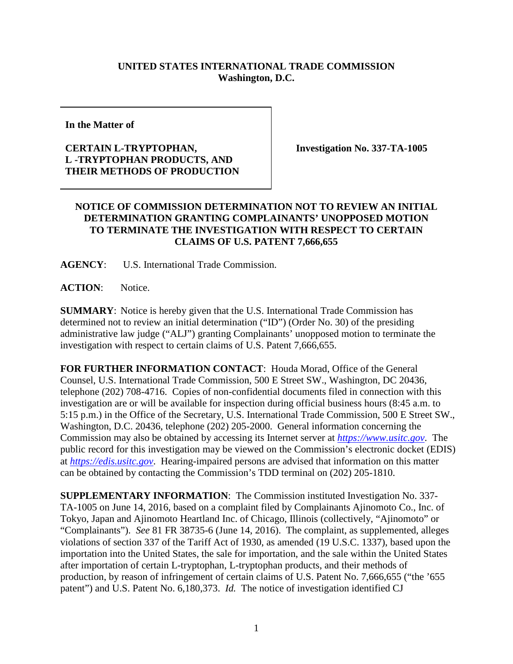## **UNITED STATES INTERNATIONAL TRADE COMMISSION Washington, D.C.**

**In the Matter of**

## **CERTAIN L-TRYPTOPHAN, L -TRYPTOPHAN PRODUCTS, AND THEIR METHODS OF PRODUCTION**

**Investigation No. 337-TA-1005**

## **NOTICE OF COMMISSION DETERMINATION NOT TO REVIEW AN INITIAL DETERMINATION GRANTING COMPLAINANTS' UNOPPOSED MOTION TO TERMINATE THE INVESTIGATION WITH RESPECT TO CERTAIN CLAIMS OF U.S. PATENT 7,666,655**

**AGENCY**: U.S. International Trade Commission.

**ACTION**: Notice.

**SUMMARY**: Notice is hereby given that the U.S. International Trade Commission has determined not to review an initial determination ("ID") (Order No. 30) of the presiding administrative law judge ("ALJ") granting Complainants' unopposed motion to terminate the investigation with respect to certain claims of U.S. Patent 7,666,655.

**FOR FURTHER INFORMATION CONTACT**: Houda Morad, Office of the General Counsel, U.S. International Trade Commission, 500 E Street SW., Washington, DC 20436, telephone (202) 708-4716. Copies of non-confidential documents filed in connection with this investigation are or will be available for inspection during official business hours (8:45 a.m. to 5:15 p.m.) in the Office of the Secretary, U.S. International Trade Commission, 500 E Street SW., Washington, D.C. 20436, telephone (202) 205-2000. General information concerning the Commission may also be obtained by accessing its Internet server at *[https://www.usitc.gov](https://www.usitc.gov/)*. The public record for this investigation may be viewed on the Commission's electronic docket (EDIS) at *[https://edis.usitc.gov](http://edis.usitc.gov/)*. Hearing-impaired persons are advised that information on this matter can be obtained by contacting the Commission's TDD terminal on (202) 205-1810.

**SUPPLEMENTARY INFORMATION**: The Commission instituted Investigation No. 337- TA-1005 on June 14, 2016, based on a complaint filed by Complainants Ajinomoto Co., Inc. of Tokyo, Japan and Ajinomoto Heartland Inc. of Chicago, Illinois (collectively, "Ajinomoto" or "Complainants"). *See* 81 FR 38735-6 (June 14, 2016). The complaint, as supplemented, alleges violations of section 337 of the Tariff Act of 1930, as amended (19 U.S.C. 1337), based upon the importation into the United States, the sale for importation, and the sale within the United States after importation of certain L-tryptophan, L-tryptophan products, and their methods of production, by reason of infringement of certain claims of U.S. Patent No. 7,666,655 ("the '655 patent") and U.S. Patent No. 6,180,373. *Id.* The notice of investigation identified CJ